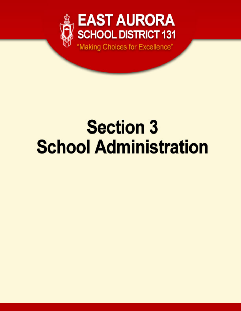

# **Section 3 School Administration**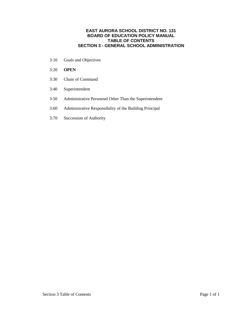# **EAST AURORA SCHOOL DISTRICT NO. 131 BOARD OF EDUCATION POLICY MANUAL TABLE OF CONTENTS SECTION 3 - GENERAL SCHOOL ADMINISTRATION**

- 3:10 Goals and Objectives
- 3:20 **OPEN**
- 3:30 Chain of Command
- 3:40 Superintendent
- 3:50 Administrative Personnel Other Than the Superintendent
- 3:60 Administrative Responsibility of the Building Principal
- 3:70 Succession of Authority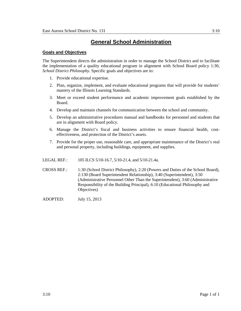#### **Goals and Objectives**

The Superintendent directs the administration in order to manage the School District and to facilitate the implementation of a quality educational program in alignment with School Board policy 1:30, *School District Philosophy*. Specific goals and objectives are to:

- 1. Provide educational expertise.
- 2. Plan, organize, implement, and evaluate educational programs that will provide for students' mastery of the Illinois Learning Standards.
- 3. Meet or exceed student performance and academic improvement goals established by the Board.
- 4. Develop and maintain channels for communication between the school and community.
- 5. Develop an administrative procedures manual and handbooks for personnel and students that are in alignment with Board policy.
- 6. Manage the District's fiscal and business activities to ensure financial health, costeffectiveness, and protection of the District's assets.
- 7. Provide for the proper use, reasonable care, and appropriate maintenance of the District's real and personal property, including buildings, equipment, and supplies.

LEGAL REF.: 105 ILCS 5/10-16.7, 5/10-21.4, and 5/10-21.4a.

CROSS REF.: 1:30 (School District Philosophy), 2:20 (Powers and Duties of the School Board), 2:130 (Board Superintendent Relationship), 3:40 (Superintendent), 3:50 (Administrative Personnel Other Than the Superintendent), 3:60 (Administrative Responsibility of the Building Principal), 6:10 (Educational Philosophy and Objectives)

ADOPTED: July 15, 2013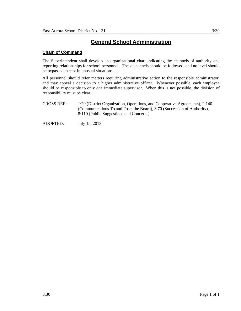# **Chain of Command**

The Superintendent shall develop an organizational chart indicating the channels of authority and reporting relationships for school personnel. These channels should be followed, and no level should be bypassed except in unusual situations.

All personnel should refer matters requiring administrative action to the responsible administrator, and may appeal a decision to a higher administrative officer. Whenever possible, each employee should be responsible to only one immediate supervisor. When this is not possible, the division of responsibility must be clear.

- CROSS REF.: 1:20 (District Organization, Operations, and Cooperative Agreements), 2:140 (Communications To and From the Board), 3:70 (Succession of Authority), 8:110 (Public Suggestions and Concerns)
- ADOPTED: July 15, 2013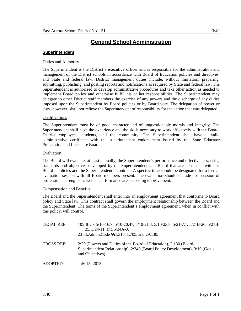## **Superintendent**

## Duties and Authority

The Superintendent is the District's executive officer and is responsible for the administration and management of the District schools in accordance with Board of Education policies and directives, and State and federal law. District management duties include, without limitation, preparing, submitting, publishing, and posting reports and notifications as required by State and federal law. The Superintendent is authorized to develop administrative procedures and take other action as needed to implement Board policy and otherwise fulfill his or her responsibilities. The Superintendent may delegate to other District staff members the exercise of any powers and the discharge of any duties imposed upon the Superintendent by Board policies or by Board vote. The delegation of power or duty, however, shall not relieve the Superintendent of responsibility for the action that was delegated.

## Qualifications

The Superintendent must be of good character and of unquestionable morals and integrity. The Superintendent shall have the experience and the skills necessary to work effectively with the Board, District employees, students, and the community. The Superintendent shall have a valid administrative certificate with the superintendent endorsement issued by the State Educator Preparation and Licensure Board.

#### Evaluation

The Board will evaluate, at least annually, the Superintendent's performance and effectiveness, using standards and objectives developed by the Superintendent and Board that are consistent with the Board's policies and the Superintendent's contract. A specific time should be designated for a formal evaluation session with all Board members present. The evaluation should include a discussion of professional strengths as well as performance areas needing improvement.

#### Compensation and Benefits

The Board and the Superintendent shall enter into an employment agreement that conforms to Board policy and State law. This contract shall govern the employment relationship between the Board and the Superintendent. The terms of the Superintendent's employment agreement, when in conflict with this policy, will control.

| LEGAL REF.:       | 105 ILCS 5/10-16.7, 5/10-20.47, 5/10-21.4, 5/10-23.8, 5/21-7.1, 5/21B-20, 5/21B-<br>$25, 5/24-11,$ and $5/24A-3$ .<br>23 Ill.Admin.Code §§1.310, 1.705, and 29.130. |
|-------------------|---------------------------------------------------------------------------------------------------------------------------------------------------------------------|
| <b>CROSS REF:</b> | 2:20 (Powers and Duties of the Board of Education), 2:130 (Board-<br>Superintendent Relationship), 2:240 (Board Policy Development), 3:10 (Goals<br>and Objectives) |
| ADOPTED:          | July 15, 2013                                                                                                                                                       |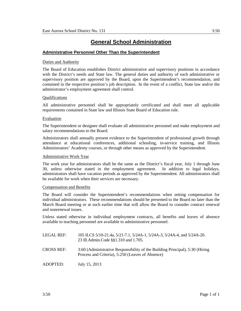# **Administrative Personnel Other Than the Superintendent**

## Duties and Authority

The Board of Education establishes District administrative and supervisory positions in accordance with the District's needs and State law. The general duties and authority of each administrative or supervisory position are approved by the Board, upon the Superintendent's recommendation, and contained in the respective position's job description. In the event of a conflict, State law and/or the administrator's employment agreement shall control.

## Qualifications

All administrative personnel shall be appropriately certificated and shall meet all applicable requirements contained in State law and Illinois State Board of Education rule.

#### Evaluation

The Superintendent or designee shall evaluate all administrative personnel and make employment and salary recommendations to the Board.

Administrators shall annually present evidence to the Superintendent of professional growth through attendance at educational conferences, additional schooling, in-service training, and Illinois Administrators' Academy courses, or through other means as approved by the Superintendent.

#### Administrative Work Year

The work year for administrators shall be the same as the District's fiscal year, July 1 through June 30, unless otherwise stated in the employment agreement. In addition to legal holidays, administrators shall have vacation periods as approved by the Superintendent. All administrators shall be available for work when their services are necessary.

## Compensation and Benefits

The Board will consider the Superintendent's recommendations when setting compensation for individual administrators. These recommendations should be presented to the Board no later than the March Board meeting or at such earlier time that will allow the Board to consider contract renewal and nonrenewal issues.

Unless stated otherwise in individual employment contracts, all benefits and leaves of absence available to teaching personnel are available to administrative personnel.

| LEGAL REF: | 105 ILCS 5/10-21.4a, 5/21-7.1, 5/24A-1, 5/24A-3, 5/24A-4, and 5/24A-20.<br>23 Ill.Admin.Code §§1.310 and 1.705.                  |
|------------|----------------------------------------------------------------------------------------------------------------------------------|
| CROSS REF: | 3:60 (Administrative Responsibility of the Building Principal), 5:30 (Hiring<br>Process and Criteria), 5:250 (Leaves of Absence) |
| ADOPTED:   | July 15, 2013                                                                                                                    |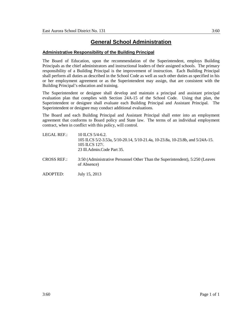# **Administrative Responsibility of the Building Principal**

The Board of Education, upon the recommendation of the Superintendent, employs Building Principals as the chief administrators and instructional leaders of their assigned schools. The primary responsibility of a Building Principal is the improvement of instruction. Each Building Principal shall perform all duties as described in the School Code as well as such other duties as specified in his or her employment agreement or as the Superintendent may assign, that are consistent with the Building Principal's education and training.

The Superintendent or designee shall develop and maintain a principal and assistant principal evaluation plan that complies with Section 24A-15 of the School Code. Using that plan, the Superintendent or designee shall evaluate each Building Principal and Assistant Principal. The Superintendent or designee may conduct additional evaluations.

The Board and each Building Principal and Assistant Principal shall enter into an employment agreement that conforms to Board policy and State law. The terms of an individual employment contract, when in conflict with this policy, will control.

- LEGAL REF.: 10 ILCS 5/4-6.2. 105 ILCS 5/2-3.53a, 5/10-20.14, 5/10-21.4a, 10-23.8a, 10-23.8b, and 5/24A-15. 105 ILCS 127/. 23 Ill.Admin.Code Part 35.
- CROSS REF.: 3:50 (Administrative Personnel Other Than the Superintendent), 5:250 (Leaves of Absence)

ADOPTED: July 15, 2013